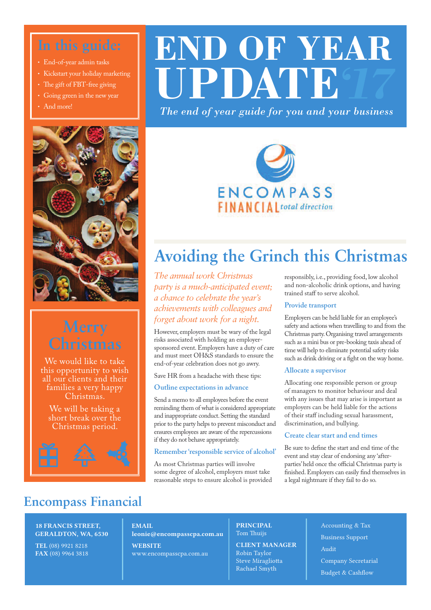### **In this guide:**

- 
- Kickstart your holiday marketing
- The gift of FBT-free giving
- Going green in the new year
- And more!





We would like to take this opportunity to wish all our clients and their families a very happy Christmas.

We will be taking a short break over the Christmas period.



# **END OF YEAR** • End-of-year admin tasks<br>• Kickstart your holiday marketing<br>• Going green in the new year<br>• Going green in the new year

*The end of year guide for you and your business*



## **Avoiding the Grinch this Christmas**

*The annual work Christmas party is a much-anticipated event; a chance to celebrate the year's achievements with colleagues and forget about work for a night.*

However, employers must be wary of the legal risks associated with holding an employersponsored event. Employers have a duty of care and must meet OH&S standards to ensure the end-of-year celebration does not go awry.

Save HR from a headache with these tips:

#### **Outline expectations in advance**

Send a memo to all employees before the event reminding them of what is considered appropriate and inappropriate conduct. Setting the standard prior to the party helps to prevent misconduct and ensures employees are aware of the repercussions if they do not behave appropriately.

#### **Remember 'responsible service of alcohol'**

As most Christmas parties will involve some degree of alcohol, employers must take reasonable steps to ensure alcohol is provided responsibly, i.e., providing food, low alcohol and non-alcoholic drink options, and having trained staff to serve alcohol.

#### **Provide transport**

Employers can be held liable for an employee's safety and actions when travelling to and from the Christmas party. Organising travel arrangements such as a mini bus or pre-booking taxis ahead of time will help to eliminate potential safety risks such as drink driving or a fight on the way home.

#### **Allocate a supervisor**

Allocating one responsible person or group of managers to monitor behaviour and deal with any issues that may arise is important as employers can be held liable for the actions of their staff including sexual harassment, discrimination, and bullying.

#### **Create clear start and end times**

Be sure to define the start and end time of the event and stay clear of endorsing any 'afterparties' held once the official Christmas party is finished. Employers can easily find themselves in a legal nightmare if they fail to do so.

### **Encompass Financial**

18 FRANCIS STREET, GERALDTON, WA, 6530

TEL (08) 9921 8218 FAX (08) 9964 3818 EMAIL leonie@encompasscpa.com.au

**WEBSITE** www.encompasscpa.com.au

#### PRINCIPAL Tom Thuijs

CLIENT MANAGER Robin Taylor Steve Miragliotta Rachael Smyth

Accounting & Tax Business Support Audit Company Secretarial Budget & Cashflow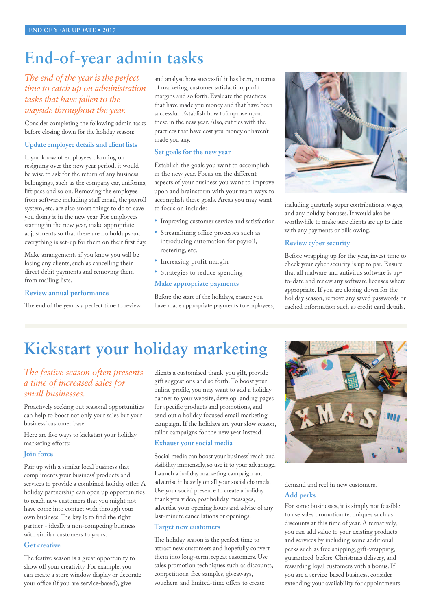### **End-of-year admin tasks**

### *The end of the year is the perfect time to catch up on administration tasks that have fallen to the wayside throughout the year.*

Consider completing the following admin tasks before closing down for the holiday season:

#### **Update employee details and client lists**

If you know of employees planning on resigning over the new year period, it would be wise to ask for the return of any business belongings, such as the company car, uniforms, lift pass and so on. Removing the employee from software including staff email, the payroll system, etc. are also smart things to do to save you doing it in the new year. For employees starting in the new year, make appropriate adjustments so that there are no holdups and everything is set-up for them on their first day.

Make arrangements if you know you will be losing any clients, such as cancelling their direct debit payments and removing them from mailing lists.

#### **Review annual performance**

The end of the year is a perfect time to review

and analyse how successful it has been, in terms of marketing, customer satisfaction, profit margins and so forth. Evaluate the practices that have made you money and that have been successful. Establish how to improve upon these in the new year. Also, cut ties with the practices that have cost you money or haven't made you any.

#### **Set goals for the new year**

Establish the goals you want to accomplish in the new year. Focus on the different aspects of your business you want to improve upon and brainstorm with your team ways to accomplish these goals. Areas you may want to focus on include:

- Improving customer service and satisfaction
- Streamlining office processes such as introducing automation for payroll, rostering, etc.
- Increasing profit margin
- Strategies to reduce spending

#### **Make appropriate payments**

Before the start of the holidays, ensure you have made appropriate payments to employees,



including quarterly super contributions, wages, and any holiday bonuses. It would also be worthwhile to make sure clients are up to date with any payments or bills owing.

#### **Review cyber security**

Before wrapping up for the year, invest time to check your cyber security is up to par. Ensure that all malware and antivirus software is upto-date and renew any software licenses where appropriate. If you are closing down for the holiday season, remove any saved passwords or cached information such as credit card details.

### **Kickstart your holiday marketing**

#### *The festive season often presents a time of increased sales for small businesses.*

Proactively seeking out seasonal opportunities can help to boost not only your sales but your business' customer base.

Here are five ways to kickstart your holiday marketing efforts:

#### **Join force**

Pair up with a similar local business that compliments your business' products and services to provide a combined holiday offer. A holiday partnership can open up opportunities to reach new customers that you might not have come into contact with through your own business. The key is to find the right partner - ideally a non-competing business with similar customers to yours.

#### **Get creative**

The festive season is a great opportunity to show off your creativity. For example, you can create a store window display or decorate your office (if you are service-based), give

clients a customised thank-you gift, provide gift suggestions and so forth. To boost your online profile, you may want to add a holiday banner to your website, develop landing pages for specific products and promotions, and send out a holiday focused email marketing campaign. If the holidays are your slow season, tailor campaigns for the new year instead.

#### **Exhaust your social media**

Social media can boost your business' reach and visibility immensely, so use it to your advantage. Launch a holiday marketing campaign and advertise it heavily on all your social channels. Use your social presence to create a holiday thank you video, post holiday messages, advertise your opening hours and advise of any last-minute cancellations or openings.

#### **Target new customers**

The holiday season is the perfect time to attract new customers and hopefully convert them into long-term, repeat customers. Use sales promotion techniques such as discounts, competitions, free samples, giveaways, vouchers, and limited-time offers to create



demand and reel in new customers. **Add perks**

For some businesses, it is simply not feasible to use sales promotion techniques such as discounts at this time of year. Alternatively, you can add value to your existing products and services by including some additional perks such as free shipping, gift-wrapping, guaranteed-before-Christmas delivery, and rewarding loyal customers with a bonus. If you are a service-based business, consider extending your availability for appointments.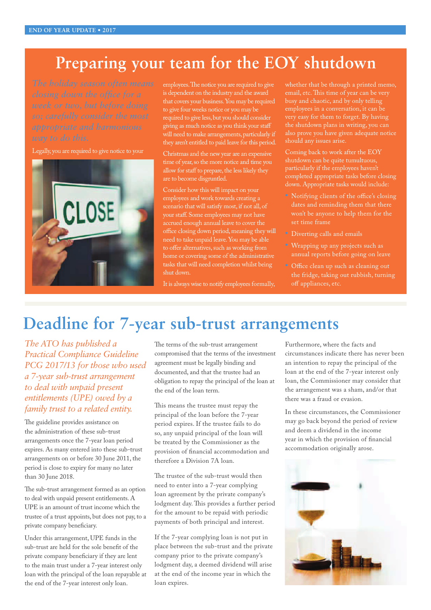### **Preparing your team for the EOY shutdown**

*The holiday season often means closing down the office for a week or two, but before doing so; carefully consider the most appropriate and harmonious way to do this.*

#### Legally, you are required to give notice to your



employees. The notice you are required to give is dependent on the industry and the award to give four weeks notice or you may be required to give less, but you should consider giving as much notice as you think your staff will need to make arrangements, particularly if they aren't entitled to paid leave for this period.

Christmas and the new year are an expensive allow for staff to prepare, the less likely they are to become disgruntled.

Consider how this will impact on your employees and work towards creating a scenario that will satisfy most, if not all, of your staff. Some employees may not have accrued enough annual leave to cover the office closing down period, meaning they will need to take unpaid leave. You may be able to offer alternatives, such as working from home or covering some of the administrative tasks that will need completion whilst being shut down.

It is always wise to notify employees formally,

whether that be through a printed memo, busy and chaotic, and by only telling very easy for them to forget. By having the shutdown plans in writing, you can also prove you have given adequate notice

Coming back to work after the EOY completed appropriate tasks before closing down. Appropriate tasks would include:

- Notifying clients of the office's closing dates and reminding them that there won't be anyone to help them for the set time frame
- Diverting calls and emails
- Wrapping up any projects such as annual reports before going on leave
- Office clean up such as cleaning out the fridge, taking out rubbish, turning off appliances, etc.

### **Deadline for 7-year sub-trust arrangements**

*The ATO has published a Practical Compliance Guideline PCG 2017/13 for those who used a 7-year sub-trust arrangement to deal with unpaid present entitlements (UPE) owed by a family trust to a related entity.* 

The guideline provides assistance on the administration of these sub-trust arrangements once the 7-year loan period expires. As many entered into these sub-trust arrangements on or before 30 June 2011, the period is close to expiry for many no later than 30 June 2018.

The sub-trust arrangement formed as an option to deal with unpaid present entitlements. A UPE is an amount of trust income which the trustee of a trust appoints, but does not pay, to a private company beneficiary.

Under this arrangement, UPE funds in the sub-trust are held for the sole benefit of the private company beneficiary if they are lent to the main trust under a 7-year interest only loan with the principal of the loan repayable at the end of the 7-year interest only loan.

The terms of the sub-trust arrangement compromised that the terms of the investment agreement must be legally binding and documented, and that the trustee had an obligation to repay the principal of the loan at the end of the loan term.

This means the trustee must repay the principal of the loan before the 7-year period expires. If the trustee fails to do so, any unpaid principal of the loan will be treated by the Commissioner as the provision of financial accommodation and therefore a Division 7A loan.

The trustee of the sub-trust would then need to enter into a 7-year complying loan agreement by the private company's lodgment day. This provides a further period for the amount to be repaid with periodic payments of both principal and interest.

If the 7-year complying loan is not put in place between the sub-trust and the private company prior to the private company's lodgment day, a deemed dividend will arise at the end of the income year in which the loan expires.

Furthermore, where the facts and circumstances indicate there has never been an intention to repay the principal of the loan at the end of the 7-year interest only loan, the Commissioner may consider that the arrangement was a sham, and/or that there was a fraud or evasion.

In these circumstances, the Commissioner may go back beyond the period of review and deem a dividend in the income year in which the provision of financial accommodation originally arose.